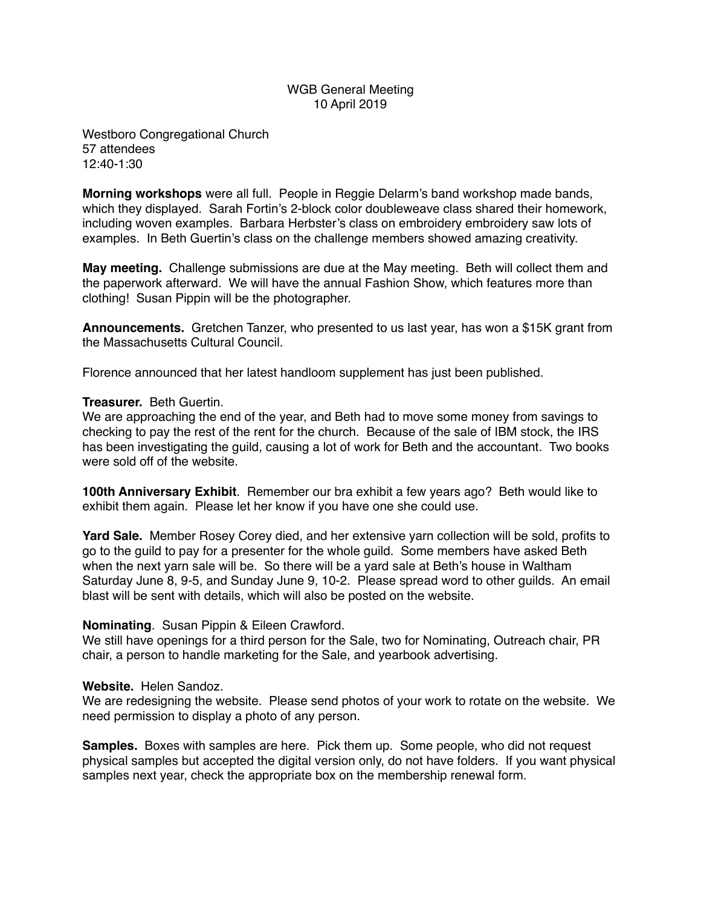# WGB General Meeting 10 April 2019

Westboro Congregational Church 57 attendees 12:40-1:30

**Morning workshops** were all full. People in Reggie Delarm's band workshop made bands, which they displayed. Sarah Fortin's 2-block color doubleweave class shared their homework, including woven examples. Barbara Herbster's class on embroidery embroidery saw lots of examples. In Beth Guertin's class on the challenge members showed amazing creativity.

**May meeting.** Challenge submissions are due at the May meeting. Beth will collect them and the paperwork afterward. We will have the annual Fashion Show, which features more than clothing! Susan Pippin will be the photographer.

**Announcements.** Gretchen Tanzer, who presented to us last year, has won a \$15K grant from the Massachusetts Cultural Council.

Florence announced that her latest handloom supplement has just been published.

## **Treasurer.** Beth Guertin.

We are approaching the end of the year, and Beth had to move some money from savings to checking to pay the rest of the rent for the church. Because of the sale of IBM stock, the IRS has been investigating the guild, causing a lot of work for Beth and the accountant. Two books were sold off of the website.

**100th Anniversary Exhibit**. Remember our bra exhibit a few years ago? Beth would like to exhibit them again. Please let her know if you have one she could use.

**Yard Sale.** Member Rosey Corey died, and her extensive yarn collection will be sold, profits to go to the guild to pay for a presenter for the whole guild. Some members have asked Beth when the next yarn sale will be. So there will be a yard sale at Beth's house in Waltham Saturday June 8, 9-5, and Sunday June 9, 10-2. Please spread word to other guilds. An email blast will be sent with details, which will also be posted on the website.

## **Nominating**. Susan Pippin & Eileen Crawford.

We still have openings for a third person for the Sale, two for Nominating, Outreach chair, PR chair, a person to handle marketing for the Sale, and yearbook advertising.

#### **Website.** Helen Sandoz.

We are redesigning the website. Please send photos of your work to rotate on the website. We need permission to display a photo of any person.

**Samples.** Boxes with samples are here. Pick them up. Some people, who did not request physical samples but accepted the digital version only, do not have folders. If you want physical samples next year, check the appropriate box on the membership renewal form.